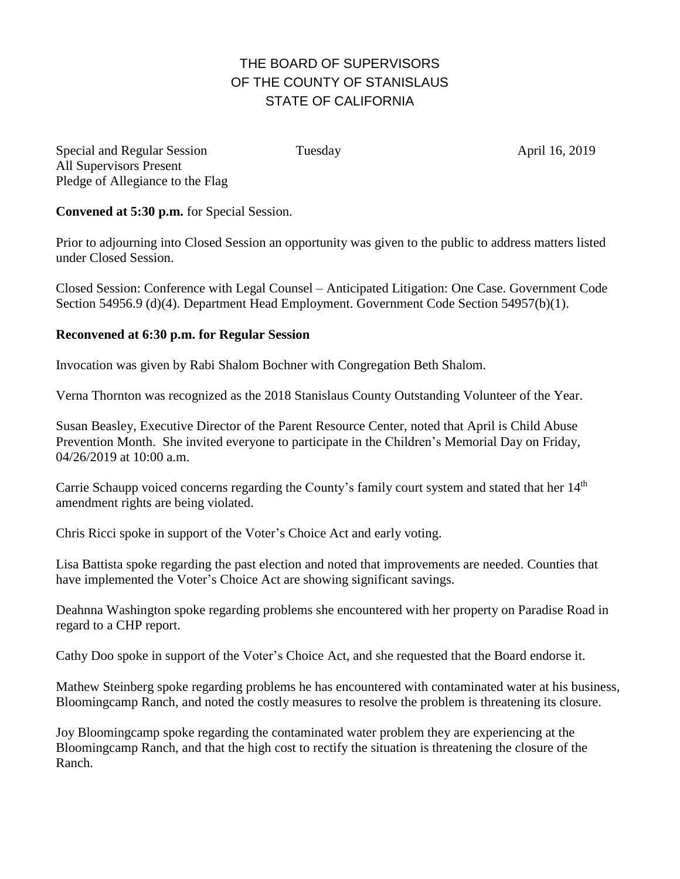## THE BOARD OF SUPERVISORS OF THE COUNTY OF STANISLAUS STATE OF CALIFORNIA

Special and Regular Session Tuesday April 16, 2019 All Supervisors Present Pledge of Allegiance to the Flag

**Convened at 5:30 p.m.** for Special Session.

Prior to adjourning into Closed Session an opportunity was given to the public to address matters listed under Closed Session.

Closed Session: Conference with Legal Counsel – Anticipated Litigation: One Case. Government Code Section 54956.9 (d)(4). Department Head Employment. Government Code Section 54957(b)(1).

## **Reconvened at 6:30 p.m. for Regular Session**

Invocation was given by Rabi Shalom Bochner with Congregation Beth Shalom.

Verna Thornton was recognized as the 2018 Stanislaus County Outstanding Volunteer of the Year.

Susan Beasley, Executive Director of the Parent Resource Center, noted that April is Child Abuse Prevention Month. She invited everyone to participate in the Children's Memorial Day on Friday, 04/26/2019 at 10:00 a.m.

Carrie Schaupp voiced concerns regarding the County's family court system and stated that her 14<sup>th</sup> amendment rights are being violated.

Chris Ricci spoke in support of the Voter's Choice Act and early voting.

Lisa Battista spoke regarding the past election and noted that improvements are needed. Counties that have implemented the Voter's Choice Act are showing significant savings.

Deahnna Washington spoke regarding problems she encountered with her property on Paradise Road in regard to a CHP report.

Cathy Doo spoke in support of the Voter's Choice Act, and she requested that the Board endorse it.

Mathew Steinberg spoke regarding problems he has encountered with contaminated water at his business, Bloomingcamp Ranch, and noted the costly measures to resolve the problem is threatening its closure.

Joy Bloomingcamp spoke regarding the contaminated water problem they are experiencing at the Bloomingcamp Ranch, and that the high cost to rectify the situation is threatening the closure of the Ranch.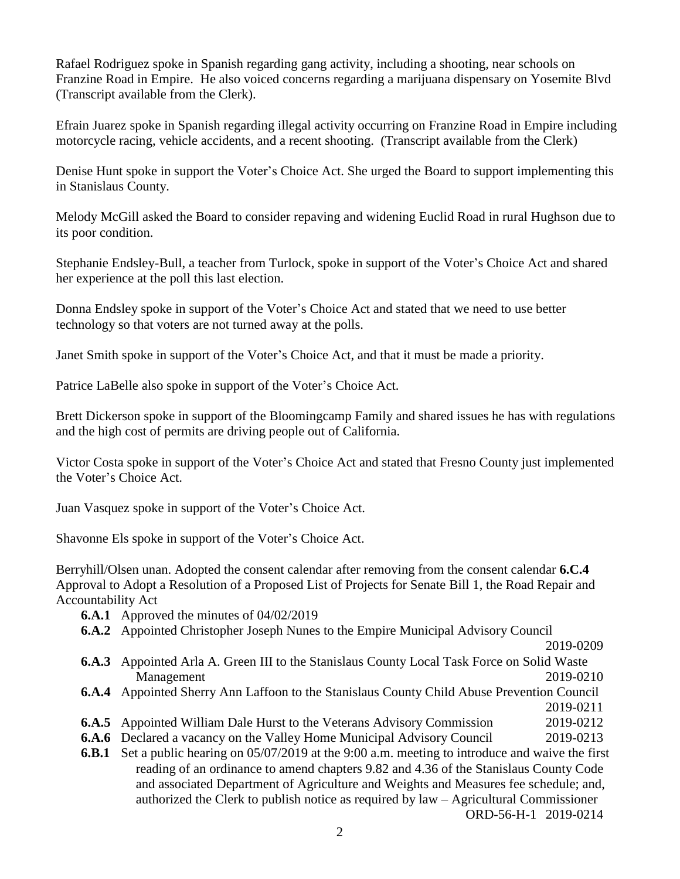Rafael Rodriguez spoke in Spanish regarding gang activity, including a shooting, near schools on Franzine Road in Empire. He also voiced concerns regarding a marijuana dispensary on Yosemite Blvd (Transcript available from the Clerk).

Efrain Juarez spoke in Spanish regarding illegal activity occurring on Franzine Road in Empire including motorcycle racing, vehicle accidents, and a recent shooting. (Transcript available from the Clerk)

Denise Hunt spoke in support the Voter's Choice Act. She urged the Board to support implementing this in Stanislaus County.

Melody McGill asked the Board to consider repaving and widening Euclid Road in rural Hughson due to its poor condition.

Stephanie Endsley-Bull, a teacher from Turlock, spoke in support of the Voter's Choice Act and shared her experience at the poll this last election.

Donna Endsley spoke in support of the Voter's Choice Act and stated that we need to use better technology so that voters are not turned away at the polls.

Janet Smith spoke in support of the Voter's Choice Act, and that it must be made a priority.

Patrice LaBelle also spoke in support of the Voter's Choice Act.

Brett Dickerson spoke in support of the Bloomingcamp Family and shared issues he has with regulations and the high cost of permits are driving people out of California.

Victor Costa spoke in support of the Voter's Choice Act and stated that Fresno County just implemented the Voter's Choice Act.

Juan Vasquez spoke in support of the Voter's Choice Act.

Shavonne Els spoke in support of the Voter's Choice Act.

Berryhill/Olsen unan. Adopted the consent calendar after removing from the consent calendar **6.C.4**  Approval to Adopt a Resolution of a Proposed List of Projects for Senate Bill 1, the Road Repair and Accountability Act

- **6.A.1** Approved the minutes of 04/02/2019
- **6.A.2** Appointed Christopher Joseph Nunes to the Empire Municipal Advisory Council

2019-0209

- **6.A.3** Appointed Arla A. Green III to the Stanislaus County Local Task Force on Solid Waste Management 2019-0210
- **6.A.4** Appointed Sherry Ann Laffoon to the Stanislaus County Child Abuse Prevention Council 2019-0211
- **6.A.5** Appointed William Dale Hurst to the Veterans Advisory Commission 2019-0212
- **6.A.6** Declared a vacancy on the Valley Home Municipal Advisory Council 2019-0213
- **6.B.1** Set a public hearing on 05/07/2019 at the 9:00 a.m. meeting to introduce and waive the first reading of an ordinance to amend chapters 9.82 and 4.36 of the Stanislaus County Code and associated Department of Agriculture and Weights and Measures fee schedule; and, authorized the Clerk to publish notice as required by law – Agricultural Commissioner ORD-56-H-1 2019-0214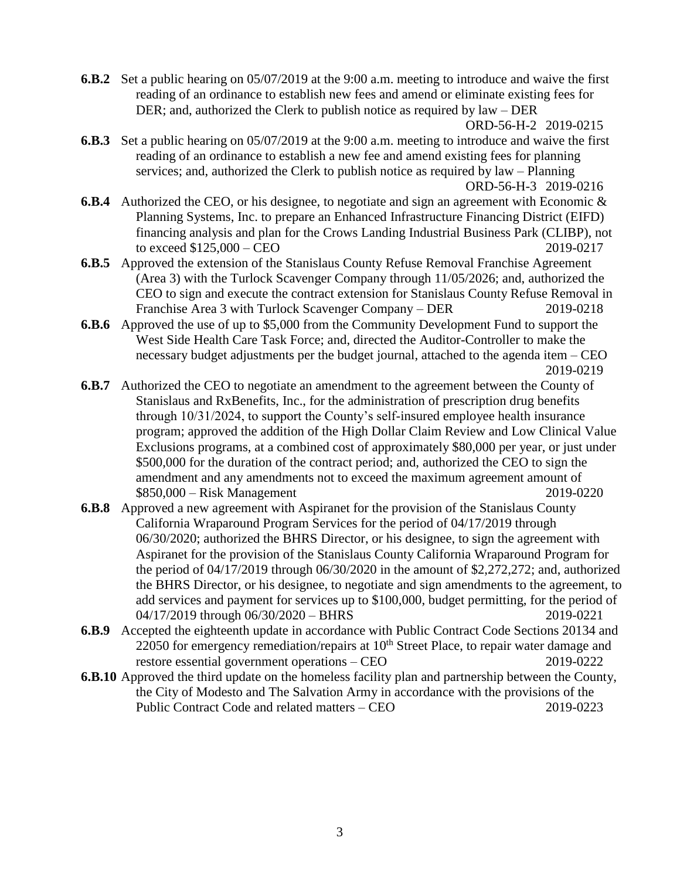**6.B.2** Set a public hearing on 05/07/2019 at the 9:00 a.m. meeting to introduce and waive the first reading of an ordinance to establish new fees and amend or eliminate existing fees for DER; and, authorized the Clerk to publish notice as required by law – DER

```
ORD-56-H-2 2019-0215
```
- **6.B.3** Set a public hearing on 05/07/2019 at the 9:00 a.m. meeting to introduce and waive the first reading of an ordinance to establish a new fee and amend existing fees for planning services; and, authorized the Clerk to publish notice as required by law – Planning ORD-56-H-3 2019-0216
- **6.B.4** Authorized the CEO, or his designee, to negotiate and sign an agreement with Economic & Planning Systems, Inc. to prepare an Enhanced Infrastructure Financing District (EIFD) financing analysis and plan for the Crows Landing Industrial Business Park (CLIBP), not to exceed \$125,000 – CEO 2019-0217
- **6.B.5** Approved the extension of the Stanislaus County Refuse Removal Franchise Agreement (Area 3) with the Turlock Scavenger Company through 11/05/2026; and, authorized the CEO to sign and execute the contract extension for Stanislaus County Refuse Removal in Franchise Area 3 with Turlock Scavenger Company – DER 2019-0218
- **6.B.6** Approved the use of up to \$5,000 from the Community Development Fund to support the West Side Health Care Task Force; and, directed the Auditor-Controller to make the necessary budget adjustments per the budget journal, attached to the agenda item – CEO 2019-0219
- **6.B.7** Authorized the CEO to negotiate an amendment to the agreement between the County of Stanislaus and RxBenefits, Inc., for the administration of prescription drug benefits through 10/31/2024, to support the County's self-insured employee health insurance program; approved the addition of the High Dollar Claim Review and Low Clinical Value Exclusions programs, at a combined cost of approximately \$80,000 per year, or just under \$500,000 for the duration of the contract period; and, authorized the CEO to sign the amendment and any amendments not to exceed the maximum agreement amount of \$850,000 – Risk Management 2019-0220
- **6.B.8** Approved a new agreement with Aspiranet for the provision of the Stanislaus County California Wraparound Program Services for the period of 04/17/2019 through 06/30/2020; authorized the BHRS Director, or his designee, to sign the agreement with Aspiranet for the provision of the Stanislaus County California Wraparound Program for the period of 04/17/2019 through 06/30/2020 in the amount of \$2,272,272; and, authorized the BHRS Director, or his designee, to negotiate and sign amendments to the agreement, to add services and payment for services up to \$100,000, budget permitting, for the period of 04/17/2019 through 06/30/2020 – BHRS 2019-0221
- **6.B.9** Accepted the eighteenth update in accordance with Public Contract Code Sections 20134 and 22050 for emergency remediation/repairs at  $10<sup>th</sup>$  Street Place, to repair water damage and restore essential government operations – CEO 2019-0222
- **6.B.10** Approved the third update on the homeless facility plan and partnership between the County, the City of Modesto and The Salvation Army in accordance with the provisions of the Public Contract Code and related matters – CEO 2019-0223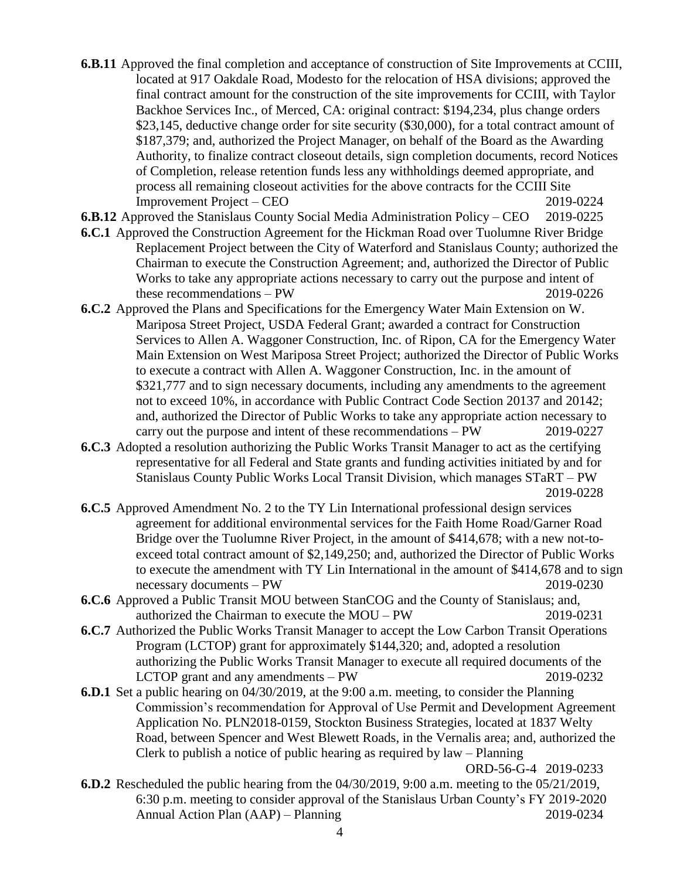- **6.B.11** Approved the final completion and acceptance of construction of Site Improvements at CCIII, located at 917 Oakdale Road, Modesto for the relocation of HSA divisions; approved the final contract amount for the construction of the site improvements for CCIII, with Taylor Backhoe Services Inc., of Merced, CA: original contract: \$194,234, plus change orders \$23,145, deductive change order for site security (\$30,000), for a total contract amount of \$187,379; and, authorized the Project Manager, on behalf of the Board as the Awarding Authority, to finalize contract closeout details, sign completion documents, record Notices of Completion, release retention funds less any withholdings deemed appropriate, and process all remaining closeout activities for the above contracts for the CCIII Site Improvement Project – CEO2019-0224
- **6.B.12** Approved the Stanislaus County Social Media Administration Policy CEO 2019-0225
- **6.C.1** Approved the Construction Agreement for the Hickman Road over Tuolumne River Bridge Replacement Project between the City of Waterford and Stanislaus County; authorized the Chairman to execute the Construction Agreement; and, authorized the Director of Public Works to take any appropriate actions necessary to carry out the purpose and intent of these recommendations – PW 2019-0226
- **6.C.2** Approved the Plans and Specifications for the Emergency Water Main Extension on W. Mariposa Street Project, USDA Federal Grant; awarded a contract for Construction Services to Allen A. Waggoner Construction, Inc. of Ripon, CA for the Emergency Water Main Extension on West Mariposa Street Project; authorized the Director of Public Works to execute a contract with Allen A. Waggoner Construction, Inc. in the amount of \$321,777 and to sign necessary documents, including any amendments to the agreement not to exceed 10%, in accordance with Public Contract Code Section 20137 and 20142; and, authorized the Director of Public Works to take any appropriate action necessary to carry out the purpose and intent of these recommendations – PW 2019-0227
- **6.C.3** Adopted a resolution authorizing the Public Works Transit Manager to act as the certifying representative for all Federal and State grants and funding activities initiated by and for Stanislaus County Public Works Local Transit Division, which manages STaRT – PW 2019-0228
- **6.C.5** Approved Amendment No. 2 to the TY Lin International professional design services agreement for additional environmental services for the Faith Home Road/Garner Road Bridge over the Tuolumne River Project, in the amount of \$414,678; with a new not-toexceed total contract amount of \$2,149,250; and, authorized the Director of Public Works to execute the amendment with TY Lin International in the amount of \$414,678 and to sign necessary documents – PW 2019-0230
- **6.C.6** Approved a Public Transit MOU between StanCOG and the County of Stanislaus; and, authorized the Chairman to execute the MOU – PW 2019-0231
- **6.C.7** Authorized the Public Works Transit Manager to accept the Low Carbon Transit Operations Program (LCTOP) grant for approximately \$144,320; and, adopted a resolution authorizing the Public Works Transit Manager to execute all required documents of the LCTOP grant and any amendments – PW 2019-0232
- **6.D.1** Set a public hearing on 04/30/2019, at the 9:00 a.m. meeting, to consider the Planning Commission's recommendation for Approval of Use Permit and Development Agreement Application No. PLN2018-0159, Stockton Business Strategies, located at 1837 Welty Road, between Spencer and West Blewett Roads, in the Vernalis area; and, authorized the Clerk to publish a notice of public hearing as required by law – Planning

ORD-56-G-4 2019-0233

**6.D.2** Rescheduled the public hearing from the 04/30/2019, 9:00 a.m. meeting to the 05/21/2019, 6:30 p.m. meeting to consider approval of the Stanislaus Urban County's FY 2019-2020 Annual Action Plan (AAP) – Planning 2019-0234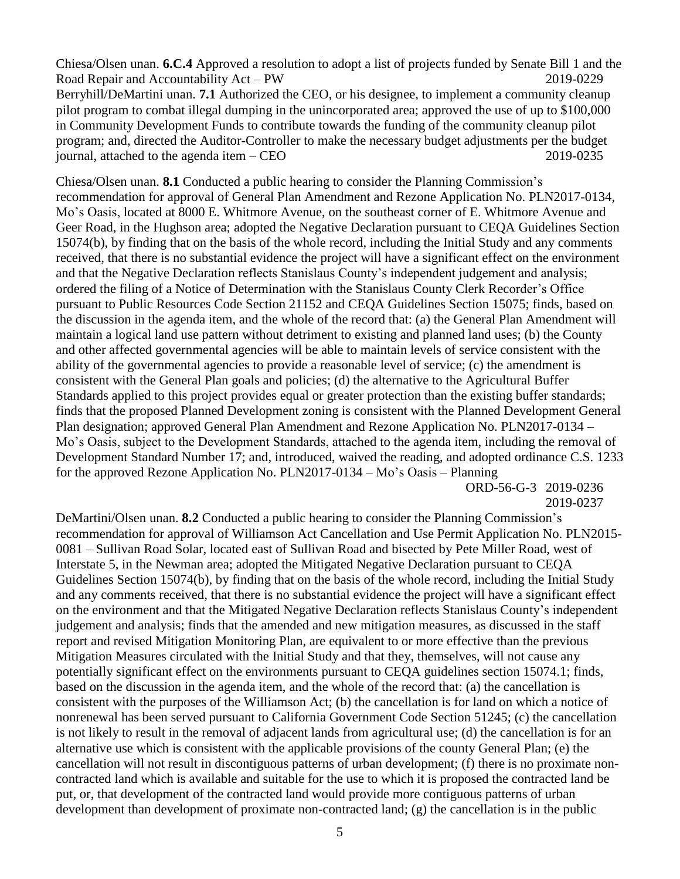Chiesa/Olsen unan. **6.C.4** Approved a resolution to adopt a list of projects funded by Senate Bill 1 and the Road Repair and Accountability Act – PW 2019-0229 Berryhill/DeMartini unan. **7.1** Authorized the CEO, or his designee, to implement a community cleanup pilot program to combat illegal dumping in the unincorporated area; approved the use of up to \$100,000 in Community Development Funds to contribute towards the funding of the community cleanup pilot program; and, directed the Auditor-Controller to make the necessary budget adjustments per the budget journal, attached to the agenda item – CEO 2019-0235

Chiesa/Olsen unan. **8.1** Conducted a public hearing to consider the Planning Commission's recommendation for approval of General Plan Amendment and Rezone Application No. PLN2017-0134, Mo's Oasis, located at 8000 E. Whitmore Avenue, on the southeast corner of E. Whitmore Avenue and Geer Road, in the Hughson area; adopted the Negative Declaration pursuant to CEQA Guidelines Section 15074(b), by finding that on the basis of the whole record, including the Initial Study and any comments received, that there is no substantial evidence the project will have a significant effect on the environment and that the Negative Declaration reflects Stanislaus County's independent judgement and analysis; ordered the filing of a Notice of Determination with the Stanislaus County Clerk Recorder's Office pursuant to Public Resources Code Section 21152 and CEQA Guidelines Section 15075; finds, based on the discussion in the agenda item, and the whole of the record that: (a) the General Plan Amendment will maintain a logical land use pattern without detriment to existing and planned land uses; (b) the County and other affected governmental agencies will be able to maintain levels of service consistent with the ability of the governmental agencies to provide a reasonable level of service; (c) the amendment is consistent with the General Plan goals and policies; (d) the alternative to the Agricultural Buffer Standards applied to this project provides equal or greater protection than the existing buffer standards; finds that the proposed Planned Development zoning is consistent with the Planned Development General Plan designation; approved General Plan Amendment and Rezone Application No. PLN2017-0134 – Mo's Oasis, subject to the Development Standards, attached to the agenda item, including the removal of Development Standard Number 17; and, introduced, waived the reading, and adopted ordinance C.S. 1233 for the approved Rezone Application No. PLN2017-0134 – Mo's Oasis – Planning

ORD-56-G-3 2019-0236 2019-0237

DeMartini/Olsen unan. **8.2** Conducted a public hearing to consider the Planning Commission's recommendation for approval of Williamson Act Cancellation and Use Permit Application No. PLN2015- 0081 – Sullivan Road Solar, located east of Sullivan Road and bisected by Pete Miller Road, west of Interstate 5, in the Newman area; adopted the Mitigated Negative Declaration pursuant to CEQA Guidelines Section 15074(b), by finding that on the basis of the whole record, including the Initial Study and any comments received, that there is no substantial evidence the project will have a significant effect on the environment and that the Mitigated Negative Declaration reflects Stanislaus County's independent judgement and analysis; finds that the amended and new mitigation measures, as discussed in the staff report and revised Mitigation Monitoring Plan, are equivalent to or more effective than the previous Mitigation Measures circulated with the Initial Study and that they, themselves, will not cause any potentially significant effect on the environments pursuant to CEQA guidelines section 15074.1; finds, based on the discussion in the agenda item, and the whole of the record that: (a) the cancellation is consistent with the purposes of the Williamson Act; (b) the cancellation is for land on which a notice of nonrenewal has been served pursuant to California Government Code Section 51245; (c) the cancellation is not likely to result in the removal of adjacent lands from agricultural use; (d) the cancellation is for an alternative use which is consistent with the applicable provisions of the county General Plan; (e) the cancellation will not result in discontiguous patterns of urban development; (f) there is no proximate noncontracted land which is available and suitable for the use to which it is proposed the contracted land be put, or, that development of the contracted land would provide more contiguous patterns of urban development than development of proximate non-contracted land; (g) the cancellation is in the public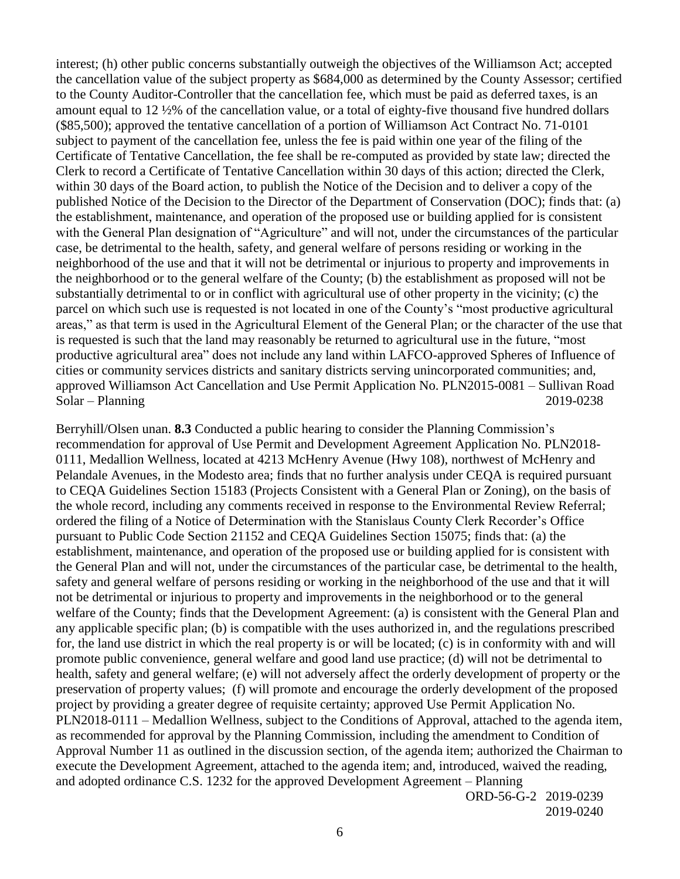interest; (h) other public concerns substantially outweigh the objectives of the Williamson Act; accepted the cancellation value of the subject property as \$684,000 as determined by the County Assessor; certified to the County Auditor-Controller that the cancellation fee, which must be paid as deferred taxes, is an amount equal to 12 ½% of the cancellation value, or a total of eighty-five thousand five hundred dollars (\$85,500); approved the tentative cancellation of a portion of Williamson Act Contract No. 71-0101 subject to payment of the cancellation fee, unless the fee is paid within one year of the filing of the Certificate of Tentative Cancellation, the fee shall be re-computed as provided by state law; directed the Clerk to record a Certificate of Tentative Cancellation within 30 days of this action; directed the Clerk, within 30 days of the Board action, to publish the Notice of the Decision and to deliver a copy of the published Notice of the Decision to the Director of the Department of Conservation (DOC); finds that: (a) the establishment, maintenance, and operation of the proposed use or building applied for is consistent with the General Plan designation of "Agriculture" and will not, under the circumstances of the particular case, be detrimental to the health, safety, and general welfare of persons residing or working in the neighborhood of the use and that it will not be detrimental or injurious to property and improvements in the neighborhood or to the general welfare of the County; (b) the establishment as proposed will not be substantially detrimental to or in conflict with agricultural use of other property in the vicinity; (c) the parcel on which such use is requested is not located in one of the County's "most productive agricultural areas," as that term is used in the Agricultural Element of the General Plan; or the character of the use that is requested is such that the land may reasonably be returned to agricultural use in the future, "most productive agricultural area" does not include any land within LAFCO-approved Spheres of Influence of cities or community services districts and sanitary districts serving unincorporated communities; and, approved Williamson Act Cancellation and Use Permit Application No. PLN2015-0081 – Sullivan Road Solar – Planning 2019-0238

Berryhill/Olsen unan. **8.3** Conducted a public hearing to consider the Planning Commission's recommendation for approval of Use Permit and Development Agreement Application No. PLN2018- 0111, Medallion Wellness, located at 4213 McHenry Avenue (Hwy 108), northwest of McHenry and Pelandale Avenues, in the Modesto area; finds that no further analysis under CEQA is required pursuant to CEQA Guidelines Section 15183 (Projects Consistent with a General Plan or Zoning), on the basis of the whole record, including any comments received in response to the Environmental Review Referral; ordered the filing of a Notice of Determination with the Stanislaus County Clerk Recorder's Office pursuant to Public Code Section 21152 and CEQA Guidelines Section 15075; finds that: (a) the establishment, maintenance, and operation of the proposed use or building applied for is consistent with the General Plan and will not, under the circumstances of the particular case, be detrimental to the health, safety and general welfare of persons residing or working in the neighborhood of the use and that it will not be detrimental or injurious to property and improvements in the neighborhood or to the general welfare of the County; finds that the Development Agreement: (a) is consistent with the General Plan and any applicable specific plan; (b) is compatible with the uses authorized in, and the regulations prescribed for, the land use district in which the real property is or will be located; (c) is in conformity with and will promote public convenience, general welfare and good land use practice; (d) will not be detrimental to health, safety and general welfare; (e) will not adversely affect the orderly development of property or the preservation of property values; (f) will promote and encourage the orderly development of the proposed project by providing a greater degree of requisite certainty; approved Use Permit Application No. PLN2018-0111 – Medallion Wellness, subject to the Conditions of Approval, attached to the agenda item, as recommended for approval by the Planning Commission, including the amendment to Condition of Approval Number 11 as outlined in the discussion section, of the agenda item; authorized the Chairman to execute the Development Agreement, attached to the agenda item; and, introduced, waived the reading, and adopted ordinance C.S. 1232 for the approved Development Agreement – Planning

ORD-56-G-2 2019-0239 2019-0240